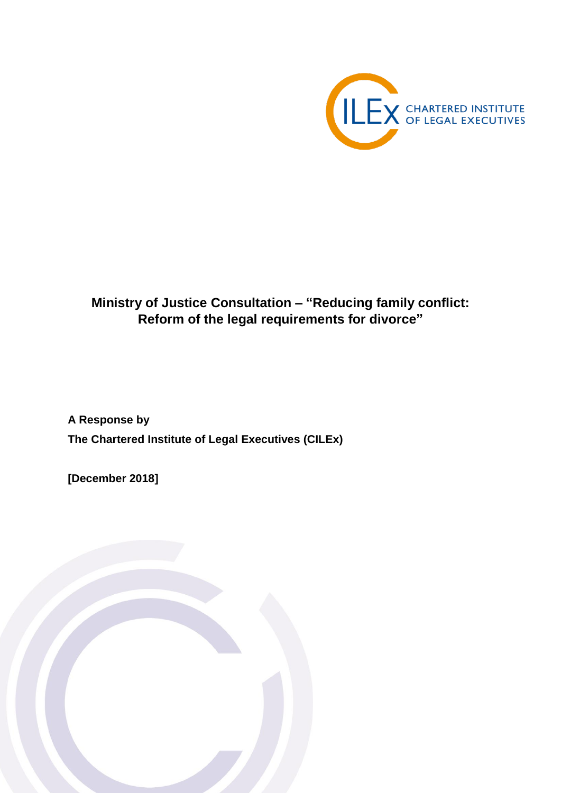

# **Ministry of Justice Consultation – "Reducing family conflict: Reform of the legal requirements for divorce"**

**A Response by The Chartered Institute of Legal Executives (CILEx)**

**[December 2018]**

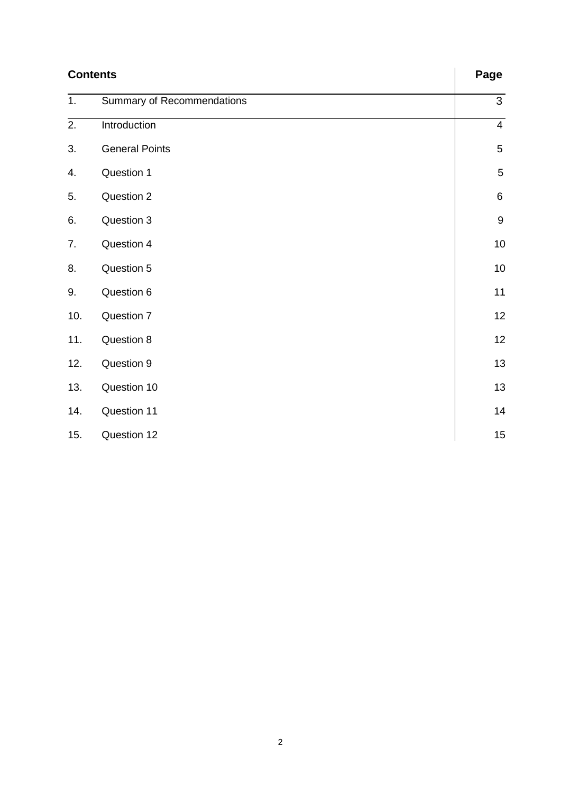| <b>Contents</b>  |                            | Page             |
|------------------|----------------------------|------------------|
| $\overline{1}$ . | Summary of Recommendations | $\mathfrak{S}$   |
| 2.               | Introduction               | $\overline{4}$   |
| 3.               | <b>General Points</b>      | $\sqrt{5}$       |
| 4.               | Question 1                 | 5                |
| 5.               | Question 2                 | $\,6\,$          |
| 6.               | Question 3                 | $\boldsymbol{9}$ |
| 7.               | Question 4                 | 10               |
| 8.               | Question 5                 | 10               |
| 9.               | Question 6                 | 11               |
| 10.              | Question 7                 | 12               |
| 11.              | Question 8                 | 12               |
| 12.              | Question 9                 | 13               |
| 13.              | Question 10                | 13               |
| 14.              | Question 11                | 14               |
| 15.              | Question 12                | 15               |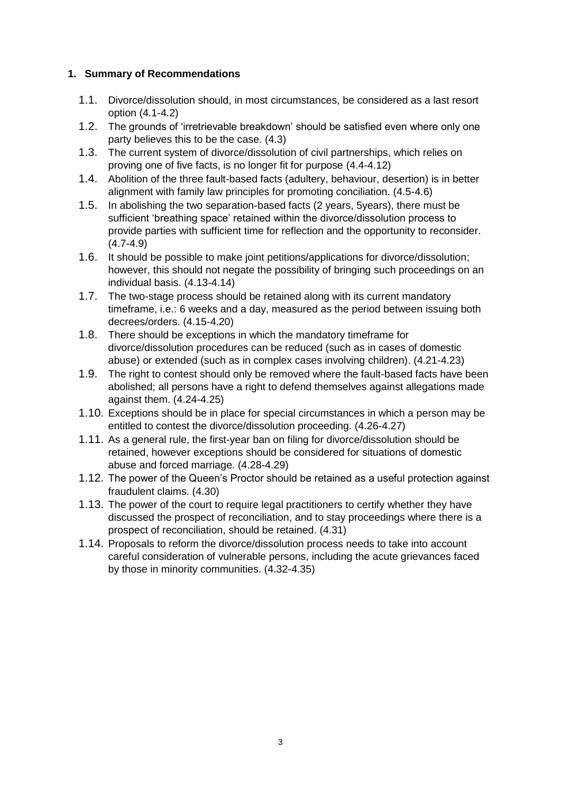#### **1. Summary of Recommendations**

- 1.1. Divorce/dissolution should, in most circumstances, be considered as a last resort option (4.1-4.2)
- 1.2. The grounds of 'irretrievable breakdown' should be satisfied even where only one party believes this to be the case. (4.3)
- 1.3. The current system of divorce/dissolution of civil partnerships, which relies on proving one of five facts, is no longer fit for purpose (4.4-4.12)
- 1.4. Abolition of the three fault-based facts (adultery, behaviour, desertion) is in better alignment with family law principles for promoting conciliation. (4.5-4.6)
- 1.5. In abolishing the two separation-based facts (2 years, 5years), there must be sufficient 'breathing space' retained within the divorce/dissolution process to provide parties with sufficient time for reflection and the opportunity to reconsider. (4.7-4.9)
- 1.6. It should be possible to make joint petitions/applications for divorce/dissolution; however, this should not negate the possibility of bringing such proceedings on an individual basis. (4.13-4.14)
- 1.7. The two-stage process should be retained along with its current mandatory timeframe, i.e.: 6 weeks and a day, measured as the period between issuing both decrees/orders. (4.15-4.20)
- 1.8. There should be exceptions in which the mandatory timeframe for divorce/dissolution procedures can be reduced (such as in cases of domestic abuse) or extended (such as in complex cases involving children). (4.21-4.23)
- 1.9. The right to contest should only be removed where the fault-based facts have been abolished; all persons have a right to defend themselves against allegations made against them. (4.24-4.25)
- 1.10. Exceptions should be in place for special circumstances in which a person may be entitled to contest the divorce/dissolution proceeding. (4.26-4.27)
- 1.11. As a general rule, the first-year ban on filing for divorce/dissolution should be retained, however exceptions should be considered for situations of domestic abuse and forced marriage. (4.28-4.29)
- 1.12. The power of the Queen's Proctor should be retained as a useful protection against fraudulent claims. (4.30)
- 1.13. The power of the court to require legal practitioners to certify whether they have discussed the prospect of reconciliation, and to stay proceedings where there is a prospect of reconciliation, should be retained. (4.31)
- 1.14. Proposals to reform the divorce/dissolution process needs to take into account careful consideration of vulnerable persons, including the acute grievances faced by those in minority communities. (4.32-4.35)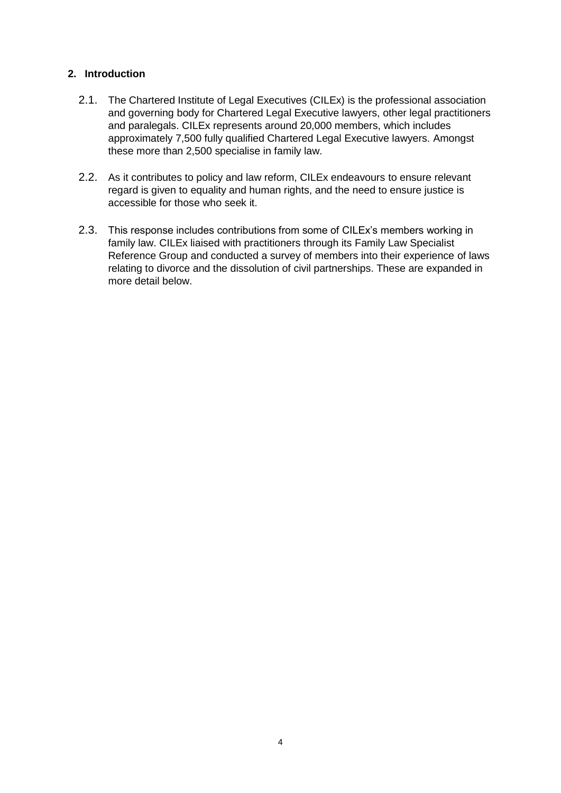#### **2. Introduction**

- 2.1. The Chartered Institute of Legal Executives (CILEx) is the professional association and governing body for Chartered Legal Executive lawyers, other legal practitioners and paralegals. CILEx represents around 20,000 members, which includes approximately 7,500 fully qualified Chartered Legal Executive lawyers. Amongst these more than 2,500 specialise in family law.
- 2.2. As it contributes to policy and law reform, CILEx endeavours to ensure relevant regard is given to equality and human rights, and the need to ensure justice is accessible for those who seek it.
- 2.3. This response includes contributions from some of CILEx's members working in family law. CILEx liaised with practitioners through its Family Law Specialist Reference Group and conducted a survey of members into their experience of laws relating to divorce and the dissolution of civil partnerships. These are expanded in more detail below.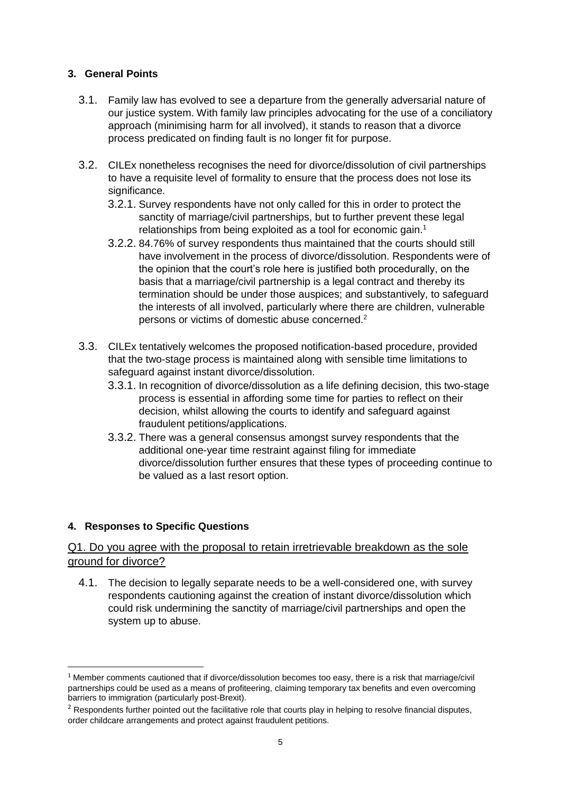#### **3. General Points**

- 3.1. Family law has evolved to see a departure from the generally adversarial nature of our justice system. With family law principles advocating for the use of a conciliatory approach (minimising harm for all involved), it stands to reason that a divorce process predicated on finding fault is no longer fit for purpose.
- 3.2. CILEx nonetheless recognises the need for divorce/dissolution of civil partnerships to have a requisite level of formality to ensure that the process does not lose its significance.
	- 3.2.1. Survey respondents have not only called for this in order to protect the sanctity of marriage/civil partnerships, but to further prevent these legal relationships from being exploited as a tool for economic gain.<sup>1</sup>
	- 3.2.2. 84.76% of survey respondents thus maintained that the courts should still have involvement in the process of divorce/dissolution. Respondents were of the opinion that the court's role here is justified both procedurally, on the basis that a marriage/civil partnership is a legal contract and thereby its termination should be under those auspices; and substantively, to safeguard the interests of all involved, particularly where there are children, vulnerable persons or victims of domestic abuse concerned.<sup>2</sup>
- 3.3. CILEx tentatively welcomes the proposed notification-based procedure, provided that the two-stage process is maintained along with sensible time limitations to safeguard against instant divorce/dissolution.
	- 3.3.1. In recognition of divorce/dissolution as a life defining decision, this two-stage process is essential in affording some time for parties to reflect on their decision, whilst allowing the courts to identify and safeguard against fraudulent petitions/applications.
	- 3.3.2. There was a general consensus amongst survey respondents that the additional one-year time restraint against filing for immediate divorce/dissolution further ensures that these types of proceeding continue to be valued as a last resort option.

### **4. Responses to Specific Questions**

1

#### Q1. Do you agree with the proposal to retain irretrievable breakdown as the sole ground for divorce?

4.1. The decision to legally separate needs to be a well-considered one, with survey respondents cautioning against the creation of instant divorce/dissolution which could risk undermining the sanctity of marriage/civil partnerships and open the system up to abuse.

 $1$  Member comments cautioned that if divorce/dissolution becomes too easy, there is a risk that marriage/civil partnerships could be used as a means of profiteering, claiming temporary tax benefits and even overcoming barriers to immigration (particularly post-Brexit).

 $2$  Respondents further pointed out the facilitative role that courts play in helping to resolve financial disputes, order childcare arrangements and protect against fraudulent petitions.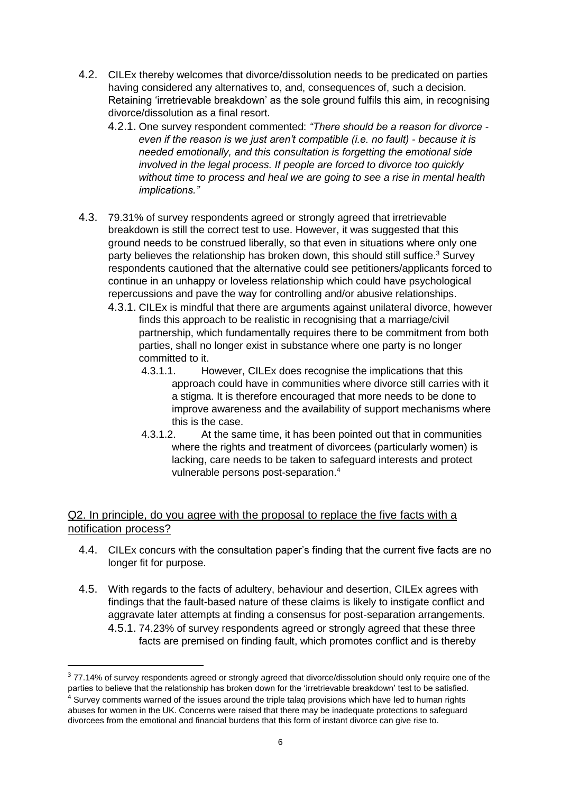- 4.2. CILEx thereby welcomes that divorce/dissolution needs to be predicated on parties having considered any alternatives to, and, consequences of, such a decision. Retaining 'irretrievable breakdown' as the sole ground fulfils this aim, in recognising divorce/dissolution as a final resort.
	- 4.2.1. One survey respondent commented: *"There should be a reason for divorce even if the reason is we just aren't compatible (i.e. no fault) - because it is needed emotionally, and this consultation is forgetting the emotional side involved in the legal process. If people are forced to divorce too quickly without time to process and heal we are going to see a rise in mental health implications."*
- 4.3. 79.31% of survey respondents agreed or strongly agreed that irretrievable breakdown is still the correct test to use. However, it was suggested that this ground needs to be construed liberally, so that even in situations where only one party believes the relationship has broken down, this should still suffice.<sup>3</sup> Survey respondents cautioned that the alternative could see petitioners/applicants forced to continue in an unhappy or loveless relationship which could have psychological repercussions and pave the way for controlling and/or abusive relationships.
	- 4.3.1. CILEx is mindful that there are arguments against unilateral divorce, however finds this approach to be realistic in recognising that a marriage/civil partnership, which fundamentally requires there to be commitment from both parties, shall no longer exist in substance where one party is no longer committed to it.
		- 4.3.1.1. However, CILEx does recognise the implications that this approach could have in communities where divorce still carries with it a stigma. It is therefore encouraged that more needs to be done to improve awareness and the availability of support mechanisms where this is the case.
		- 4.3.1.2. At the same time, it has been pointed out that in communities where the rights and treatment of divorcees (particularly women) is lacking, care needs to be taken to safeguard interests and protect vulnerable persons post-separation.<sup>4</sup>

### Q2. In principle, do you agree with the proposal to replace the five facts with a notification process?

- 4.4. CILEx concurs with the consultation paper's finding that the current five facts are no longer fit for purpose.
- 4.5. With regards to the facts of adultery, behaviour and desertion, CILEx agrees with findings that the fault-based nature of these claims is likely to instigate conflict and aggravate later attempts at finding a consensus for post-separation arrangements. 4.5.1. 74.23% of survey respondents agreed or strongly agreed that these three facts are premised on finding fault, which promotes conflict and is thereby

<sup>&</sup>lt;sup>3</sup> 77.14% of survey respondents agreed or strongly agreed that divorce/dissolution should only require one of the parties to believe that the relationship has broken down for the 'irretrievable breakdown' test to be satisfied.  $4$  Survev comments warned of the issues around the triple talaq provisions which have led to human rights abuses for women in the UK. Concerns were raised that there may be inadequate protections to safeguard divorcees from the emotional and financial burdens that this form of instant divorce can give rise to.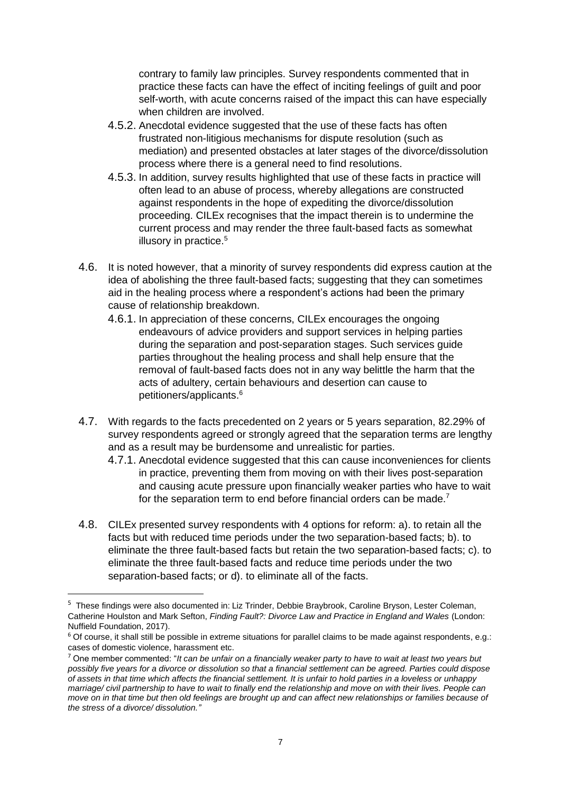contrary to family law principles. Survey respondents commented that in practice these facts can have the effect of inciting feelings of guilt and poor self-worth, with acute concerns raised of the impact this can have especially when children are involved.

- 4.5.2. Anecdotal evidence suggested that the use of these facts has often frustrated non-litigious mechanisms for dispute resolution (such as mediation) and presented obstacles at later stages of the divorce/dissolution process where there is a general need to find resolutions.
- 4.5.3. In addition, survey results highlighted that use of these facts in practice will often lead to an abuse of process, whereby allegations are constructed against respondents in the hope of expediting the divorce/dissolution proceeding. CILEx recognises that the impact therein is to undermine the current process and may render the three fault-based facts as somewhat illusory in practice.<sup>5</sup>
- 4.6. It is noted however, that a minority of survey respondents did express caution at the idea of abolishing the three fault-based facts; suggesting that they can sometimes aid in the healing process where a respondent's actions had been the primary cause of relationship breakdown.
	- 4.6.1. In appreciation of these concerns, CILEx encourages the ongoing endeavours of advice providers and support services in helping parties during the separation and post-separation stages. Such services guide parties throughout the healing process and shall help ensure that the removal of fault-based facts does not in any way belittle the harm that the acts of adultery, certain behaviours and desertion can cause to petitioners/applicants.<sup>6</sup>
- 4.7. With regards to the facts precedented on 2 years or 5 years separation, 82.29% of survey respondents agreed or strongly agreed that the separation terms are lengthy and as a result may be burdensome and unrealistic for parties.
	- 4.7.1. Anecdotal evidence suggested that this can cause inconveniences for clients in practice, preventing them from moving on with their lives post-separation and causing acute pressure upon financially weaker parties who have to wait for the separation term to end before financial orders can be made.<sup>7</sup>
- 4.8. CILEx presented survey respondents with 4 options for reform: a). to retain all the facts but with reduced time periods under the two separation-based facts; b). to eliminate the three fault-based facts but retain the two separation-based facts; c). to eliminate the three fault-based facts and reduce time periods under the two separation-based facts; or d). to eliminate all of the facts.

<sup>&</sup>lt;sup>5</sup> These findings were also documented in: Liz Trinder, Debbie Braybrook, Caroline Bryson, Lester Coleman, Catherine Houlston and Mark Sefton, *Finding Fault?: Divorce Law and Practice in England and Wales* (London: Nuffield Foundation, 2017).

<sup>&</sup>lt;sup>6</sup> Of course, it shall still be possible in extreme situations for parallel claims to be made against respondents, e.g.: cases of domestic violence, harassment etc.

<sup>7</sup> One member commented: "*It can be unfair on a financially weaker party to have to wait at least two years but possibly five years for a divorce or dissolution so that a financial settlement can be agreed. Parties could dispose of assets in that time which affects the financial settlement. It is unfair to hold parties in a loveless or unhappy marriage/ civil partnership to have to wait to finally end the relationship and move on with their lives. People can move on in that time but then old feelings are brought up and can affect new relationships or families because of the stress of a divorce/ dissolution."*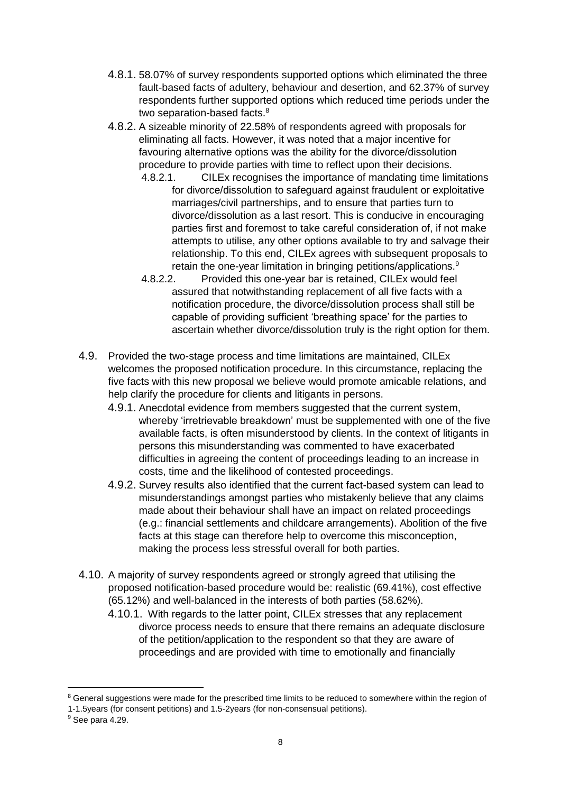- 4.8.1. 58.07% of survey respondents supported options which eliminated the three fault-based facts of adultery, behaviour and desertion, and 62.37% of survey respondents further supported options which reduced time periods under the two separation-based facts.<sup>8</sup>
- 4.8.2. A sizeable minority of 22.58% of respondents agreed with proposals for eliminating all facts. However, it was noted that a major incentive for favouring alternative options was the ability for the divorce/dissolution procedure to provide parties with time to reflect upon their decisions.
	- 4.8.2.1. CILEx recognises the importance of mandating time limitations for divorce/dissolution to safeguard against fraudulent or exploitative marriages/civil partnerships, and to ensure that parties turn to divorce/dissolution as a last resort. This is conducive in encouraging parties first and foremost to take careful consideration of, if not make attempts to utilise, any other options available to try and salvage their relationship. To this end, CILEx agrees with subsequent proposals to retain the one-year limitation in bringing petitions/applications.<sup>9</sup>
	- 4.8.2.2. Provided this one-year bar is retained, CILEx would feel assured that notwithstanding replacement of all five facts with a notification procedure, the divorce/dissolution process shall still be capable of providing sufficient 'breathing space' for the parties to ascertain whether divorce/dissolution truly is the right option for them.
- 4.9. Provided the two-stage process and time limitations are maintained, CILEx welcomes the proposed notification procedure. In this circumstance, replacing the five facts with this new proposal we believe would promote amicable relations, and help clarify the procedure for clients and litigants in persons.
	- 4.9.1. Anecdotal evidence from members suggested that the current system, whereby 'irretrievable breakdown' must be supplemented with one of the five available facts, is often misunderstood by clients. In the context of litigants in persons this misunderstanding was commented to have exacerbated difficulties in agreeing the content of proceedings leading to an increase in costs, time and the likelihood of contested proceedings.
	- 4.9.2. Survey results also identified that the current fact-based system can lead to misunderstandings amongst parties who mistakenly believe that any claims made about their behaviour shall have an impact on related proceedings (e.g.: financial settlements and childcare arrangements). Abolition of the five facts at this stage can therefore help to overcome this misconception, making the process less stressful overall for both parties.
- 4.10. A majority of survey respondents agreed or strongly agreed that utilising the proposed notification-based procedure would be: realistic (69.41%), cost effective (65.12%) and well-balanced in the interests of both parties (58.62%).
	- 4.10.1. With regards to the latter point, CILEx stresses that any replacement divorce process needs to ensure that there remains an adequate disclosure of the petition/application to the respondent so that they are aware of proceedings and are provided with time to emotionally and financially

<sup>&</sup>lt;sup>8</sup> General suggestions were made for the prescribed time limits to be reduced to somewhere within the region of 1-1.5years (for consent petitions) and 1.5-2years (for non-consensual petitions).

<sup>&</sup>lt;sup>9</sup> See para 4.29.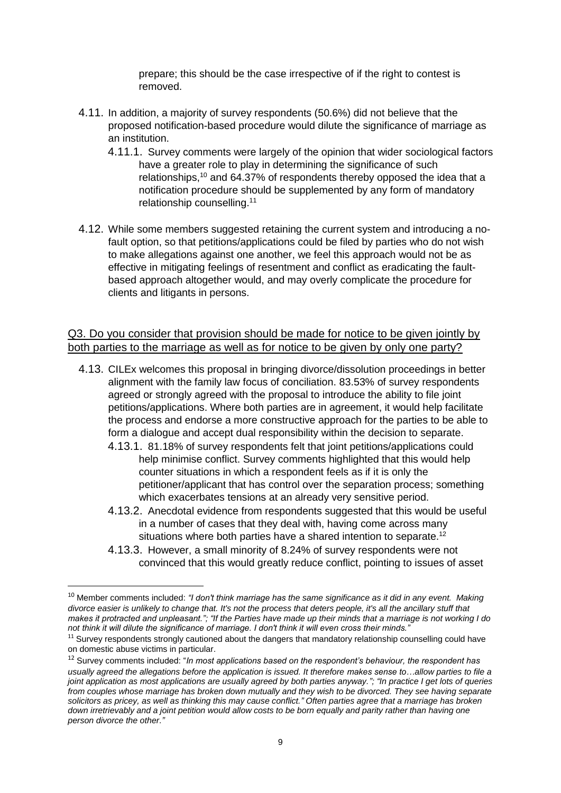prepare; this should be the case irrespective of if the right to contest is removed.

- 4.11. In addition, a majority of survey respondents (50.6%) did not believe that the proposed notification-based procedure would dilute the significance of marriage as an institution.
	- 4.11.1. Survey comments were largely of the opinion that wider sociological factors have a greater role to play in determining the significance of such relationships,<sup>10</sup> and 64.37% of respondents thereby opposed the idea that a notification procedure should be supplemented by any form of mandatory relationship counselling.<sup>11</sup>
- 4.12. While some members suggested retaining the current system and introducing a nofault option, so that petitions/applications could be filed by parties who do not wish to make allegations against one another, we feel this approach would not be as effective in mitigating feelings of resentment and conflict as eradicating the faultbased approach altogether would, and may overly complicate the procedure for clients and litigants in persons.

### Q3. Do you consider that provision should be made for notice to be given jointly by both parties to the marriage as well as for notice to be given by only one party?

- 4.13. CILEx welcomes this proposal in bringing divorce/dissolution proceedings in better alignment with the family law focus of conciliation. 83.53% of survey respondents agreed or strongly agreed with the proposal to introduce the ability to file joint petitions/applications. Where both parties are in agreement, it would help facilitate the process and endorse a more constructive approach for the parties to be able to form a dialogue and accept dual responsibility within the decision to separate.
	- 4.13.1. 81.18% of survey respondents felt that joint petitions/applications could help minimise conflict. Survey comments highlighted that this would help counter situations in which a respondent feels as if it is only the petitioner/applicant that has control over the separation process; something which exacerbates tensions at an already very sensitive period.
	- 4.13.2. Anecdotal evidence from respondents suggested that this would be useful in a number of cases that they deal with, having come across many situations where both parties have a shared intention to separate.<sup>12</sup>
	- 4.13.3. However, a small minority of 8.24% of survey respondents were not convinced that this would greatly reduce conflict, pointing to issues of asset

1

<sup>10</sup> Member comments included: *"I don't think marriage has the same significance as it did in any event. Making divorce easier is unlikely to change that. It's not the process that deters people, it's all the ancillary stuff that makes it protracted and unpleasant."; "If the Parties have made up their minds that a marriage is not working I do not think it will dilute the significance of marriage. I don't think it will even cross their minds."*

<sup>&</sup>lt;sup>11</sup> Survey respondents strongly cautioned about the dangers that mandatory relationship counselling could have on domestic abuse victims in particular.

<sup>12</sup> Survey comments included: "*In most applications based on the respondent's behaviour, the respondent has usually agreed the allegations before the application is issued. It therefore makes sense to…allow parties to file a joint application as most applications are usually agreed by both parties anyway."; "In practice I get lots of queries from couples whose marriage has broken down mutually and they wish to be divorced. They see having separate solicitors as pricey, as well as thinking this may cause conflict." Often parties agree that a marriage has broken down irretrievably and a joint petition would allow costs to be born equally and parity rather than having one person divorce the other."*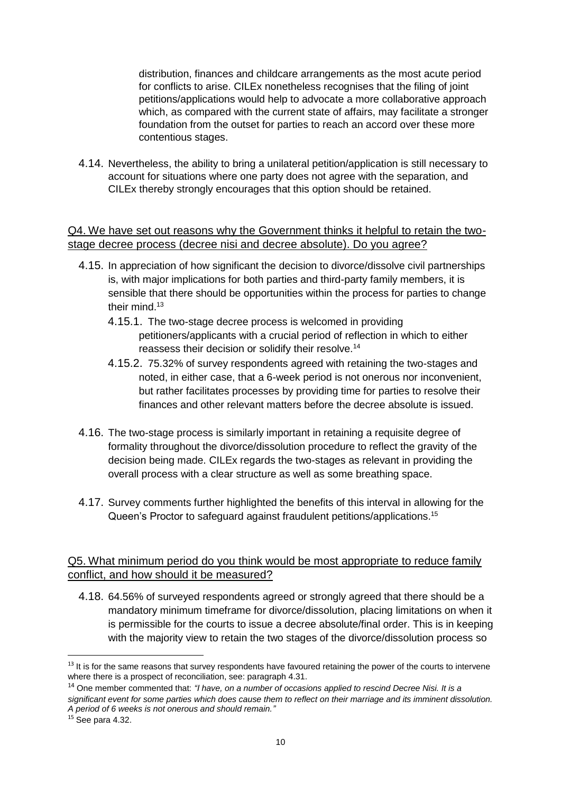distribution, finances and childcare arrangements as the most acute period for conflicts to arise. CILEx nonetheless recognises that the filing of joint petitions/applications would help to advocate a more collaborative approach which, as compared with the current state of affairs, may facilitate a stronger foundation from the outset for parties to reach an accord over these more contentious stages.

4.14. Nevertheless, the ability to bring a unilateral petition/application is still necessary to account for situations where one party does not agree with the separation, and CILEx thereby strongly encourages that this option should be retained.

#### Q4. We have set out reasons why the Government thinks it helpful to retain the twostage decree process (decree nisi and decree absolute). Do you agree?

- 4.15. In appreciation of how significant the decision to divorce/dissolve civil partnerships is, with major implications for both parties and third-party family members, it is sensible that there should be opportunities within the process for parties to change their mind.<sup>13</sup>
	- 4.15.1. The two-stage decree process is welcomed in providing petitioners/applicants with a crucial period of reflection in which to either reassess their decision or solidify their resolve.<sup>14</sup>
	- 4.15.2. 75.32% of survey respondents agreed with retaining the two-stages and noted, in either case, that a 6-week period is not onerous nor inconvenient, but rather facilitates processes by providing time for parties to resolve their finances and other relevant matters before the decree absolute is issued.
- 4.16. The two-stage process is similarly important in retaining a requisite degree of formality throughout the divorce/dissolution procedure to reflect the gravity of the decision being made. CILEx regards the two-stages as relevant in providing the overall process with a clear structure as well as some breathing space.
- 4.17. Survey comments further highlighted the benefits of this interval in allowing for the Queen's Proctor to safeguard against fraudulent petitions/applications.<sup>15</sup>

### Q5. What minimum period do you think would be most appropriate to reduce family conflict, and how should it be measured?

4.18. 64.56% of surveyed respondents agreed or strongly agreed that there should be a mandatory minimum timeframe for divorce/dissolution, placing limitations on when it is permissible for the courts to issue a decree absolute/final order. This is in keeping with the majority view to retain the two stages of the divorce/dissolution process so

<sup>&</sup>lt;sup>13</sup> It is for the same reasons that survey respondents have favoured retaining the power of the courts to intervene where there is a prospect of reconciliation, see: paragraph 4.31.

<sup>14</sup> One member commented that: *"I have, on a number of occasions applied to rescind Decree Nisi. It is a significant event for some parties which does cause them to reflect on their marriage and its imminent dissolution. A period of 6 weeks is not onerous and should remain."*

<sup>15</sup> See para 4.32.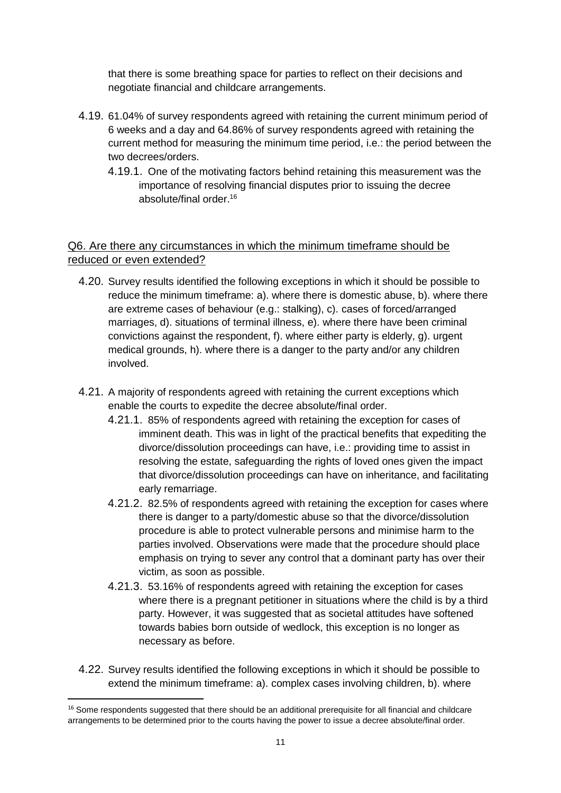that there is some breathing space for parties to reflect on their decisions and negotiate financial and childcare arrangements.

- 4.19. 61.04% of survey respondents agreed with retaining the current minimum period of 6 weeks and a day and 64.86% of survey respondents agreed with retaining the current method for measuring the minimum time period, i.e.: the period between the two decrees/orders.
	- 4.19.1. One of the motivating factors behind retaining this measurement was the importance of resolving financial disputes prior to issuing the decree absolute/final order.<sup>16</sup>

### Q6. Are there any circumstances in which the minimum timeframe should be reduced or even extended?

- 4.20. Survey results identified the following exceptions in which it should be possible to reduce the minimum timeframe: a). where there is domestic abuse, b). where there are extreme cases of behaviour (e.g.: stalking), c). cases of forced/arranged marriages, d). situations of terminal illness, e). where there have been criminal convictions against the respondent, f). where either party is elderly, g). urgent medical grounds, h). where there is a danger to the party and/or any children involved.
- 4.21. A majority of respondents agreed with retaining the current exceptions which enable the courts to expedite the decree absolute/final order.
	- 4.21.1. 85% of respondents agreed with retaining the exception for cases of imminent death. This was in light of the practical benefits that expediting the divorce/dissolution proceedings can have, i.e.: providing time to assist in resolving the estate, safeguarding the rights of loved ones given the impact that divorce/dissolution proceedings can have on inheritance, and facilitating early remarriage.
	- 4.21.2. 82.5% of respondents agreed with retaining the exception for cases where there is danger to a party/domestic abuse so that the divorce/dissolution procedure is able to protect vulnerable persons and minimise harm to the parties involved. Observations were made that the procedure should place emphasis on trying to sever any control that a dominant party has over their victim, as soon as possible.
	- 4.21.3. 53.16% of respondents agreed with retaining the exception for cases where there is a pregnant petitioner in situations where the child is by a third party. However, it was suggested that as societal attitudes have softened towards babies born outside of wedlock, this exception is no longer as necessary as before.
- 4.22. Survey results identified the following exceptions in which it should be possible to extend the minimum timeframe: a). complex cases involving children, b). where

 $\overline{a}$ 

<sup>&</sup>lt;sup>16</sup> Some respondents suggested that there should be an additional prerequisite for all financial and childcare arrangements to be determined prior to the courts having the power to issue a decree absolute/final order.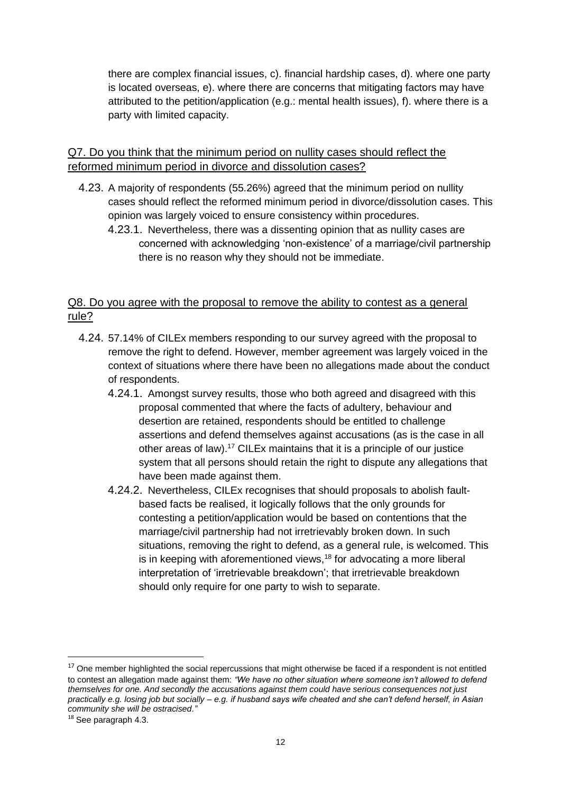there are complex financial issues, c). financial hardship cases, d). where one party is located overseas, e). where there are concerns that mitigating factors may have attributed to the petition/application (e.g.: mental health issues), f). where there is a party with limited capacity.

### Q7. Do you think that the minimum period on nullity cases should reflect the reformed minimum period in divorce and dissolution cases?

- 4.23. A majority of respondents (55.26%) agreed that the minimum period on nullity cases should reflect the reformed minimum period in divorce/dissolution cases. This opinion was largely voiced to ensure consistency within procedures.
	- 4.23.1. Nevertheless, there was a dissenting opinion that as nullity cases are concerned with acknowledging 'non-existence' of a marriage/civil partnership there is no reason why they should not be immediate.

### Q8. Do you agree with the proposal to remove the ability to contest as a general rule?

- 4.24. 57.14% of CILEx members responding to our survey agreed with the proposal to remove the right to defend. However, member agreement was largely voiced in the context of situations where there have been no allegations made about the conduct of respondents.
	- 4.24.1. Amongst survey results, those who both agreed and disagreed with this proposal commented that where the facts of adultery, behaviour and desertion are retained, respondents should be entitled to challenge assertions and defend themselves against accusations (as is the case in all other areas of law). <sup>17</sup> CILEx maintains that it is a principle of our justice system that all persons should retain the right to dispute any allegations that have been made against them.
	- 4.24.2. Nevertheless, CILEx recognises that should proposals to abolish faultbased facts be realised, it logically follows that the only grounds for contesting a petition/application would be based on contentions that the marriage/civil partnership had not irretrievably broken down. In such situations, removing the right to defend, as a general rule, is welcomed. This is in keeping with aforementioned views,<sup>18</sup> for advocating a more liberal interpretation of 'irretrievable breakdown'; that irretrievable breakdown should only require for one party to wish to separate.

 $17$  One member highlighted the social repercussions that might otherwise be faced if a respondent is not entitled to contest an allegation made against them: *"We have no other situation where someone isn't allowed to defend themselves for one. And secondly the accusations against them could have serious consequences not just practically e.g. losing job but socially – e.g. if husband says wife cheated and she can't defend herself, in Asian community she will be ostracised."*

<sup>18</sup> See paragraph 4.3.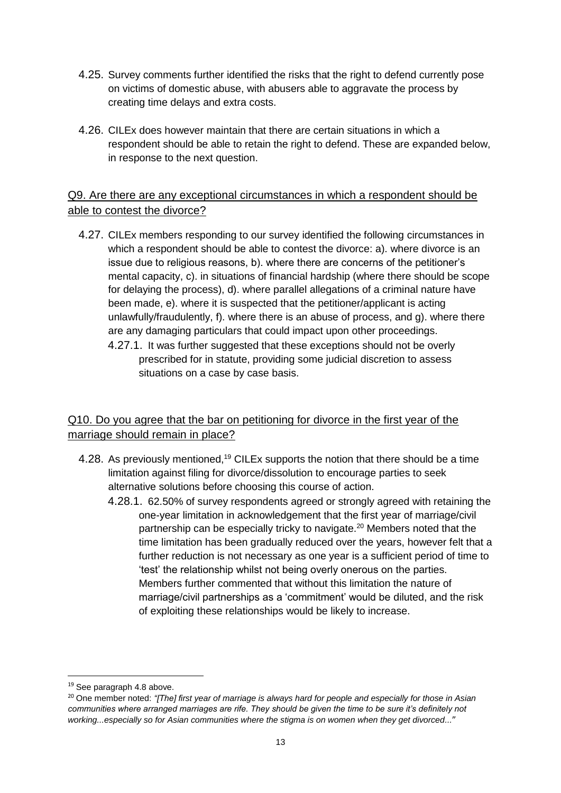- 4.25. Survey comments further identified the risks that the right to defend currently pose on victims of domestic abuse, with abusers able to aggravate the process by creating time delays and extra costs.
- 4.26. CILEx does however maintain that there are certain situations in which a respondent should be able to retain the right to defend. These are expanded below, in response to the next question.

# Q9. Are there are any exceptional circumstances in which a respondent should be able to contest the divorce?

- 4.27. CILEx members responding to our survey identified the following circumstances in which a respondent should be able to contest the divorce: a). where divorce is an issue due to religious reasons, b). where there are concerns of the petitioner's mental capacity, c). in situations of financial hardship (where there should be scope for delaying the process), d). where parallel allegations of a criminal nature have been made, e). where it is suspected that the petitioner/applicant is acting unlawfully/fraudulently, f). where there is an abuse of process, and g). where there are any damaging particulars that could impact upon other proceedings.
	- 4.27.1. It was further suggested that these exceptions should not be overly prescribed for in statute, providing some judicial discretion to assess situations on a case by case basis.

# Q10. Do you agree that the bar on petitioning for divorce in the first year of the marriage should remain in place?

- 4.28. As previously mentioned.<sup>19</sup> CILEx supports the notion that there should be a time limitation against filing for divorce/dissolution to encourage parties to seek alternative solutions before choosing this course of action.
	- 4.28.1. 62.50% of survey respondents agreed or strongly agreed with retaining the one-year limitation in acknowledgement that the first year of marriage/civil partnership can be especially tricky to navigate.<sup>20</sup> Members noted that the time limitation has been gradually reduced over the years, however felt that a further reduction is not necessary as one year is a sufficient period of time to 'test' the relationship whilst not being overly onerous on the parties. Members further commented that without this limitation the nature of marriage/civil partnerships as a 'commitment' would be diluted, and the risk of exploiting these relationships would be likely to increase.

1

<sup>19</sup> See paragraph 4.8 above.

<sup>&</sup>lt;sup>20</sup> One member noted: *"[The] first year of marriage is always hard for people and especially for those in Asian communities where arranged marriages are rife. They should be given the time to be sure it's definitely not working...especially so for Asian communities where the stigma is on women when they get divorced...*"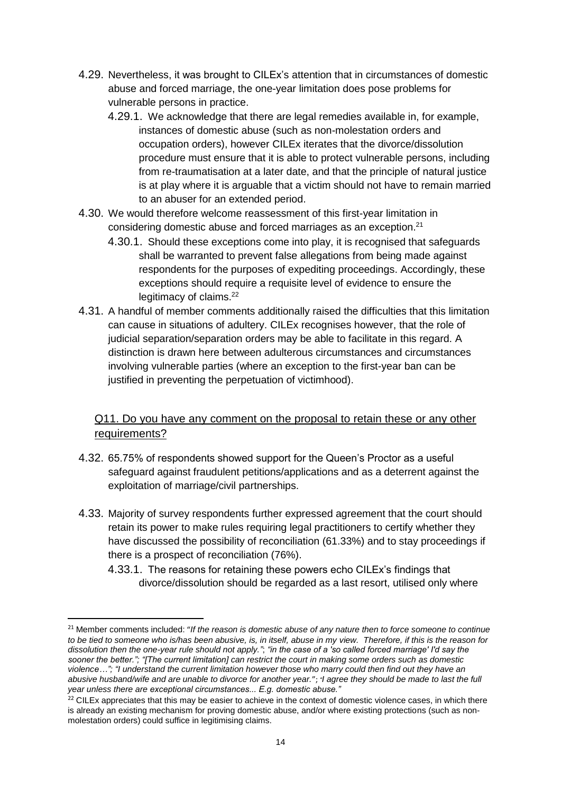- 4.29. Nevertheless, it was brought to CILEx's attention that in circumstances of domestic abuse and forced marriage, the one-year limitation does pose problems for vulnerable persons in practice.
	- 4.29.1. We acknowledge that there are legal remedies available in, for example, instances of domestic abuse (such as non-molestation orders and occupation orders), however CILEx iterates that the divorce/dissolution procedure must ensure that it is able to protect vulnerable persons, including from re-traumatisation at a later date, and that the principle of natural justice is at play where it is arguable that a victim should not have to remain married to an abuser for an extended period.
- 4.30. We would therefore welcome reassessment of this first-year limitation in considering domestic abuse and forced marriages as an exception.<sup>21</sup>
	- 4.30.1. Should these exceptions come into play, it is recognised that safeguards shall be warranted to prevent false allegations from being made against respondents for the purposes of expediting proceedings. Accordingly, these exceptions should require a requisite level of evidence to ensure the legitimacy of claims.<sup>22</sup>
- 4.31. A handful of member comments additionally raised the difficulties that this limitation can cause in situations of adultery. CILEx recognises however, that the role of judicial separation/separation orders may be able to facilitate in this regard. A distinction is drawn here between adulterous circumstances and circumstances involving vulnerable parties (where an exception to the first-year ban can be justified in preventing the perpetuation of victimhood).

# Q11. Do you have any comment on the proposal to retain these or any other requirements?

- 4.32. 65.75% of respondents showed support for the Queen's Proctor as a useful safeguard against fraudulent petitions/applications and as a deterrent against the exploitation of marriage/civil partnerships.
- 4.33. Majority of survey respondents further expressed agreement that the court should retain its power to make rules requiring legal practitioners to certify whether they have discussed the possibility of reconciliation (61.33%) and to stay proceedings if there is a prospect of reconciliation (76%).
	- 4.33.1. The reasons for retaining these powers echo CILEx's findings that divorce/dissolution should be regarded as a last resort, utilised only where

<sup>&</sup>lt;sup>21</sup> Member comments included: "If the reason is domestic abuse of any nature then to force someone to continue *to be tied to someone who is/has been abusive, is, in itself, abuse in my view. Therefore, if this is the reason for dissolution then the one-year rule should not apply."*; *"in the case of a 'so called forced marriage' I'd say the sooner the better."; "[The current limitation] can restrict the court in making some orders such as domestic violence…"; "I understand the current limitation however those who marry could then find out they have an abusive husband/wife and are unable to divorce for another year.*"; *"I agree they should be made to last the full year unless there are exceptional circumstances... E.g. domestic abuse."*

 $22$  CILEx appreciates that this may be easier to achieve in the context of domestic violence cases, in which there is already an existing mechanism for proving domestic abuse, and/or where existing protections (such as nonmolestation orders) could suffice in legitimising claims.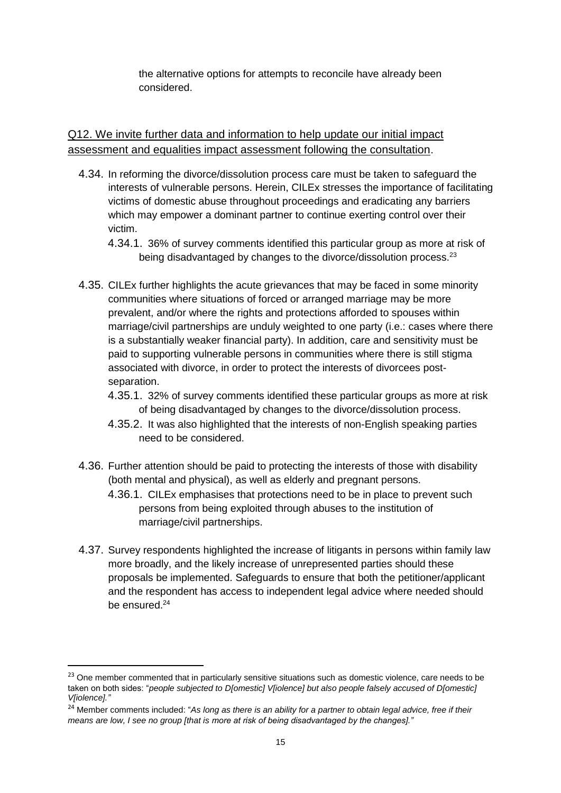the alternative options for attempts to reconcile have already been considered.

Q12. We invite further data and information to help update our initial impact assessment and equalities impact assessment following the consultation.

- 4.34. In reforming the divorce/dissolution process care must be taken to safeguard the interests of vulnerable persons. Herein, CILEx stresses the importance of facilitating victims of domestic abuse throughout proceedings and eradicating any barriers which may empower a dominant partner to continue exerting control over their victim.
	- 4.34.1. 36% of survey comments identified this particular group as more at risk of being disadvantaged by changes to the divorce/dissolution process.<sup>23</sup>
- 4.35. CILEx further highlights the acute grievances that may be faced in some minority communities where situations of forced or arranged marriage may be more prevalent, and/or where the rights and protections afforded to spouses within marriage/civil partnerships are unduly weighted to one party (i.e.: cases where there is a substantially weaker financial party). In addition, care and sensitivity must be paid to supporting vulnerable persons in communities where there is still stigma associated with divorce, in order to protect the interests of divorcees postseparation.
	- 4.35.1. 32% of survey comments identified these particular groups as more at risk of being disadvantaged by changes to the divorce/dissolution process.
	- 4.35.2. It was also highlighted that the interests of non-English speaking parties need to be considered.
- 4.36. Further attention should be paid to protecting the interests of those with disability (both mental and physical), as well as elderly and pregnant persons.
	- 4.36.1. CILEx emphasises that protections need to be in place to prevent such persons from being exploited through abuses to the institution of marriage/civil partnerships.
- 4.37. Survey respondents highlighted the increase of litigants in persons within family law more broadly, and the likely increase of unrepresented parties should these proposals be implemented. Safeguards to ensure that both the petitioner/applicant and the respondent has access to independent legal advice where needed should be ensured.<sup>24</sup>

<sup>&</sup>lt;sup>23</sup> One member commented that in particularly sensitive situations such as domestic violence, care needs to be taken on both sides: "*people subjected to D[omestic] V[iolence] but also people falsely accused of D[omestic] V[iolence]."*

<sup>&</sup>lt;sup>24</sup> Member comments included: "As long as there is an ability for a partner to obtain legal advice, free if their *means are low, I see no group [that is more at risk of being disadvantaged by the changes]."*